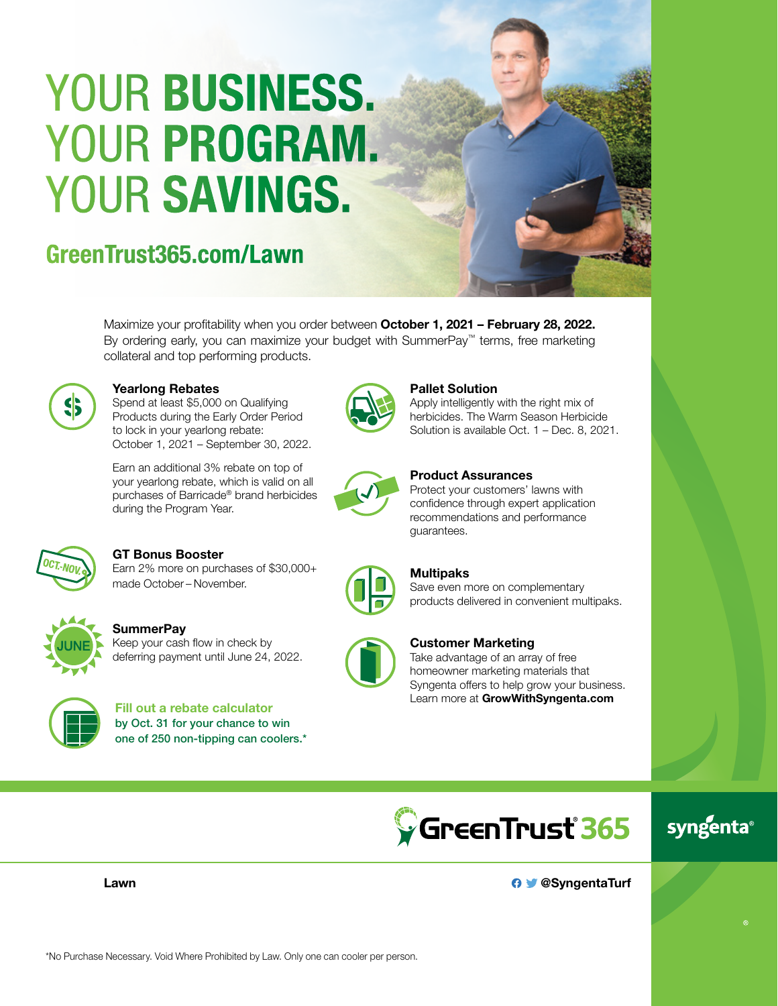# YOUR BUSINESS. YOUR PROGRAM. YOUR SAVINGS.

# GreenTrust365.com/Lawn



Maximize your profitability when you order between October 1, 2021 – February 28, 2022. By ordering early, you can maximize your budget with SummerPay™ terms, free marketing collateral and top performing products.



#### Yearlong Rebates

Spend at least \$5,000 on Qualifying Products during the Early Order Period to lock in your yearlong rebate: October 1, 2021 – September 30, 2022.

Earn an additional 3% rebate on top of your yearlong rebate, which is valid on all purchases of Barricade® brand herbicides during the Program Year.



#### Pallet Solution

Apply intelligently with the right mix of herbicides. The Warm Season Herbicide Solution is available Oct. 1 – Dec. 8, 2021.



#### Product Assurances

Protect your customers' lawns with confidence through expert application recommendations and performance guarantees.



#### GT Bonus Booster

Earn 2% more on purchases of \$30,000+ made October – November.



**SummerPay** 

Keep your cash flow in check by deferring payment until June 24, 2022.



Fill out a rebate calculator by Oct. 31 for your chance to win one of 250 non-tipping can coolers.\*

# **Multipaks**

Save even more on complementary products delivered in convenient multipaks.



#### Customer Marketing

Take advantage of an array of free homeowner marketing materials that Syngenta offers to help grow your business. Learn more at GrowWithSyngenta.com



## syngenta®

Lawn

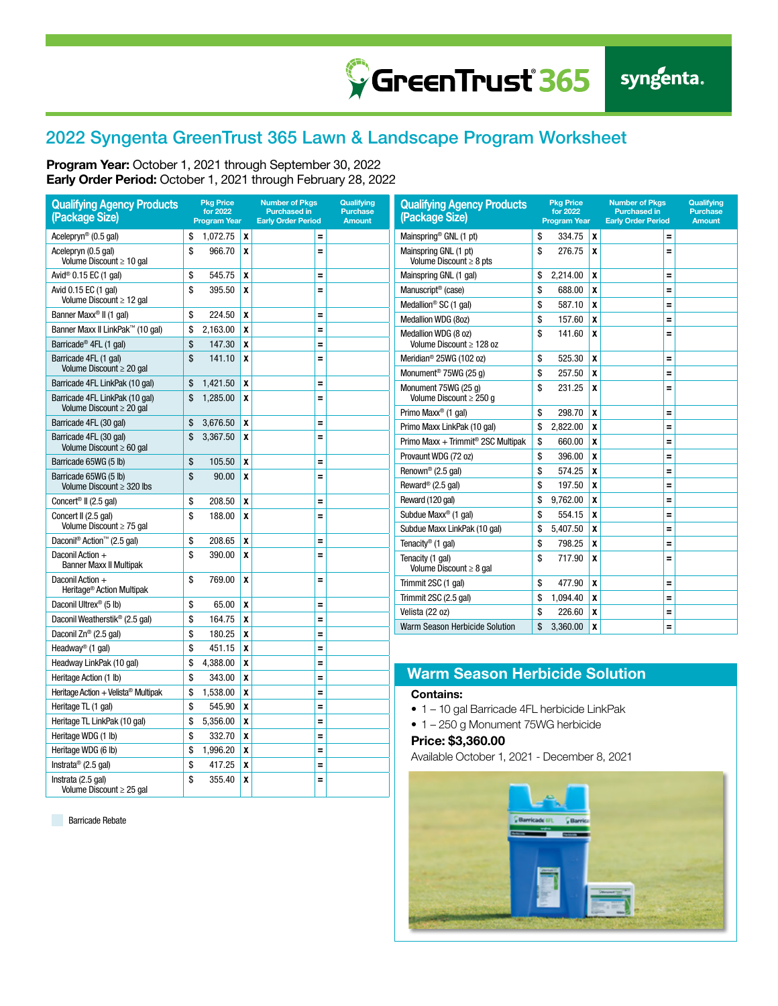### 2022 Syngenta GreenTrust 365 Lawn & Landscape Program Worksheet

GreenTrust<sup>365</sup>

Program Year: October 1, 2021 through September 30, 2022 Early Order Period: October 1, 2021 through February 28, 2022

| <b>Qualifying Agency Products</b><br>(Package Size)             | <b>Pkg Price</b><br>for 2022<br><b>Program Year</b> |                           | <b>Number of Pkgs</b><br><b>Purchased in</b><br><b>Early Order Period</b> | Qualifying<br><b>Purchase</b><br><b>Amount</b> | <b>Qualifying Agency Products</b><br>(Package Size)                      |          | <b>Pkg Price</b><br>for 2022<br><b>Program Year</b> |                           | <b>Number of Pkgs</b><br><b>Purchased in</b><br><b>Early Order Period</b> |  | Qualifying<br><b>Purchase</b><br><b>Amount</b> |
|-----------------------------------------------------------------|-----------------------------------------------------|---------------------------|---------------------------------------------------------------------------|------------------------------------------------|--------------------------------------------------------------------------|----------|-----------------------------------------------------|---------------------------|---------------------------------------------------------------------------|--|------------------------------------------------|
| Acelepryn <sup>®</sup> (0.5 gal)                                | \$<br>1,072.75                                      | $\boldsymbol{x}$          | Ξ                                                                         |                                                | Mainspring® GNL (1 pt)                                                   | \$       | 334.75                                              | $\boldsymbol{\mathsf{x}}$ | $\equiv$                                                                  |  |                                                |
| Acelepryn (0.5 gal)<br>Volume Discount $\geq 10$ gal            | \$<br>966.70                                        | X                         | Ξ                                                                         |                                                | Mainspring GNL (1 pt)<br>Volume Discount $\geq 8$ pts                    |          | 276.75                                              | $\mathbf{x}$              | $\equiv$                                                                  |  |                                                |
| Avid <sup>®</sup> 0.15 EC (1 gal)                               | \$<br>545.75                                        | ١x                        | Ξ                                                                         |                                                | Mainspring GNL (1 gal)                                                   | \$       | 2,214.00                                            | X                         | $\equiv$                                                                  |  |                                                |
| Avid 0.15 EC (1 gal)                                            | \$<br>395.50                                        | X                         | Ξ                                                                         |                                                | Manuscript <sup>®</sup> (case)                                           | \$       | 688.00                                              | X                         | $\equiv$                                                                  |  |                                                |
| Volume Discount $\geq 12$ gal                                   |                                                     |                           |                                                                           |                                                | Medallion <sup>®</sup> SC (1 gal)                                        | \$       | 587.10                                              | X                         | $\equiv$                                                                  |  |                                                |
| Banner Maxx <sup>®</sup> II (1 gal)                             | \$<br>224.50                                        | ١x                        | Ξ                                                                         |                                                | Medallion WDG (8oz)                                                      | \$       | 157.60                                              | X                         | $\equiv$                                                                  |  |                                                |
| Banner Maxx II LinkPak™ (10 gal)                                | \$<br>2,163.00                                      | $\boldsymbol{x}$          | Ξ                                                                         |                                                | Medallion WDG (8 oz)                                                     | S        | 141.60                                              | X                         | $\equiv$                                                                  |  |                                                |
| Barricade <sup>®</sup> 4FL (1 gal)                              | \$<br>147.30                                        | X                         | Ξ                                                                         |                                                | Volume Discount $\geq 128$ oz                                            |          |                                                     |                           |                                                                           |  |                                                |
| Barricade 4FL (1 gal)<br>Volume Discount $\geq 20$ gal          | \$<br>141.10                                        | X                         | Ξ                                                                         |                                                | Meridian <sup>®</sup> 25WG (102 oz)<br>Monument <sup>®</sup> 75WG (25 q) | \$<br>\$ | 525.30<br>257.50                                    | X<br>X                    | $\equiv$<br>Ξ                                                             |  |                                                |
| Barricade 4FL LinkPak (10 gal)                                  | \$<br>1,421.50                                      | x                         | Ξ                                                                         |                                                | Monument 75WG (25 q)                                                     | S        | 231.25                                              | $\mathbf{x}$              | $\equiv$                                                                  |  |                                                |
| Barricade 4FL LinkPak (10 gal)<br>Volume Discount $\geq 20$ gal | \$<br>1.285.00                                      | X                         | Ξ                                                                         |                                                | Volume Discount ≥ 250 a                                                  |          |                                                     |                           |                                                                           |  |                                                |
| Barricade 4FL (30 gal)                                          | \$<br>3,676.50                                      | $\boldsymbol{x}$          | Ξ                                                                         |                                                | Primo Maxx <sup>®</sup> (1 gal)                                          | \$       | 298.70                                              | X                         | $\equiv$                                                                  |  |                                                |
| Barricade 4FL (30 gal)                                          | \$<br>3,367.50                                      | X                         | Ξ                                                                         |                                                | Primo Maxx LinkPak (10 gal)                                              | \$<br>\$ | 2,822.00                                            | X                         | Ξ                                                                         |  |                                                |
| Volume Discount $\geq 60$ gal                                   |                                                     |                           |                                                                           |                                                | Primo Maxx + Trimmit <sup>®</sup> 2SC Multipak                           |          | 660.00                                              | X                         | $\equiv$                                                                  |  |                                                |
| Barricade 65WG (5 lb)                                           | \$<br>105.50                                        | $\boldsymbol{x}$          | Ξ                                                                         |                                                | Provaunt WDG (72 oz)                                                     | \$<br>\$ | 396.00                                              | $\pmb{\chi}$              | $\equiv$                                                                  |  |                                                |
| Barricade 65WG (5 lb)                                           | \$<br>90.00                                         | $\boldsymbol{x}$          | Ξ                                                                         |                                                | Renown <sup>®</sup> (2.5 gal)<br>Reward <sup>®</sup> (2.5 gal)           |          | 574.25                                              | $\boldsymbol{x}$          | $\equiv$                                                                  |  |                                                |
| Volume Discount $\geq$ 320 lbs                                  |                                                     |                           |                                                                           |                                                |                                                                          |          | 197.50                                              | $\boldsymbol{x}$          | $\equiv$                                                                  |  |                                                |
| Concert <sup>®</sup> II (2.5 gal)                               | \$<br>208.50                                        | X                         | Ξ                                                                         |                                                | Reward (120 gal)                                                         | \$       | 9,762.00                                            | X                         | $\equiv$                                                                  |  |                                                |
| Concert II (2.5 gal)<br>Volume Discount $\geq$ 75 gal           | \$<br>188.00                                        | X                         | Ξ                                                                         |                                                | Subdue Maxx <sup>®</sup> (1 gal)                                         |          | 554.15<br>5,407.50                                  | X<br>X                    | $\equiv$<br>$\equiv$                                                      |  |                                                |
| Daconil <sup>®</sup> Action <sup>™</sup> (2.5 gal)              | \$<br>208.65                                        | X                         | $=$                                                                       |                                                | Subdue Maxx LinkPak (10 gal)                                             |          | 798.25                                              | X                         | $\equiv$                                                                  |  |                                                |
| Daconil Action +                                                | \$<br>390.00                                        | X                         | Ξ                                                                         |                                                | Tenacity <sup>®</sup> (1 gal)<br>\$                                      |          |                                                     |                           |                                                                           |  |                                                |
| <b>Banner Maxx II Multipak</b>                                  |                                                     |                           |                                                                           |                                                | Tenacity (1 gal)<br>Volume Discount $\geq 8$ gal                         | \$       | 717.90                                              | X                         | Ξ                                                                         |  |                                                |
| Daconil Action +<br>Heritage <sup>®</sup> Action Multipak       | \$<br>769.00                                        | $\boldsymbol{x}$          | Ξ                                                                         |                                                | Trimmit 2SC (1 gal)                                                      | \$       | 477.90                                              | $\boldsymbol{x}$          | $\equiv$                                                                  |  |                                                |
| Daconil Ultrex <sup>®</sup> (5 lb)                              | \$<br>65.00                                         | X                         | Ξ                                                                         |                                                | Trimmit 2SC (2.5 gal)                                                    | \$       | 1,094.40                                            | X                         | $\equiv$                                                                  |  |                                                |
| Daconil Weatherstik® (2.5 gal)                                  | \$<br>164.75                                        | $\mathbf{x}$              | Ξ                                                                         |                                                | Velista (22 oz)                                                          | \$       | 226.60                                              | X                         | Ξ                                                                         |  |                                                |
| Daconil Zn <sup>®</sup> (2.5 gal)                               | \$<br>180.25                                        | ١x                        | Ξ                                                                         |                                                | Warm Season Herbicide Solution                                           |          | 3.360.00                                            | $\mathbf{x}$              | $\equiv$                                                                  |  |                                                |
| Headway <sup>®</sup> (1 gal)                                    | \$<br>451.15                                        | $\boldsymbol{\mathsf{x}}$ | Ξ                                                                         |                                                |                                                                          |          |                                                     |                           |                                                                           |  |                                                |
| Headway LinkPak (10 gal)                                        | \$<br>4,388.00                                      | X                         | Ξ                                                                         |                                                |                                                                          |          |                                                     |                           |                                                                           |  |                                                |
|                                                                 |                                                     | $\boldsymbol{x}$          |                                                                           |                                                | <b>Warm Season Herbicide Solution</b>                                    |          |                                                     |                           |                                                                           |  |                                                |
| Heritage Action (1 lb)                                          | \$<br>343.00                                        |                           | =                                                                         |                                                |                                                                          |          |                                                     |                           |                                                                           |  |                                                |
| Heritage Action + Velista <sup>®</sup> Multipak                 | \$<br>1,538.00                                      | 1X                        | Ξ                                                                         |                                                | <b>Contains:</b>                                                         |          |                                                     |                           |                                                                           |  |                                                |
| Heritage TL (1 gal)                                             | \$<br>545.90                                        | X                         | Ξ                                                                         |                                                | • 1 - 10 gal Barricade 4FL herbicide LinkPak                             |          |                                                     |                           |                                                                           |  |                                                |
| Heritage TL LinkPak (10 gal)                                    | \$<br>5,356.00                                      | X                         | Ξ                                                                         |                                                | • 1 - 250 g Monument 75WG herbicide                                      |          |                                                     |                           |                                                                           |  |                                                |
| Heritage WDG (1 lb)                                             | \$<br>332.70                                        | $\boldsymbol{x}$          | Ξ                                                                         |                                                | Price: \$3,360.00                                                        |          |                                                     |                           |                                                                           |  |                                                |
| Heritage WDG (6 lb)                                             | \$<br>1,996.20                                      | X                         | Ξ                                                                         |                                                | Available October 1, 2021 - December 8, 2021                             |          |                                                     |                           |                                                                           |  |                                                |
| Instrata <sup>®</sup> (2.5 gal)                                 | \$<br>417.25                                        | ١x                        | $\equiv$                                                                  |                                                |                                                                          |          |                                                     |                           |                                                                           |  |                                                |

Barricade Rebate

Volume Discount ≥ 25 gal

 $\frac{\sqrt{355.40} \times \sqrt{255.40}}{\sqrt{255.40}}$  =

Instrata (2.5 gal)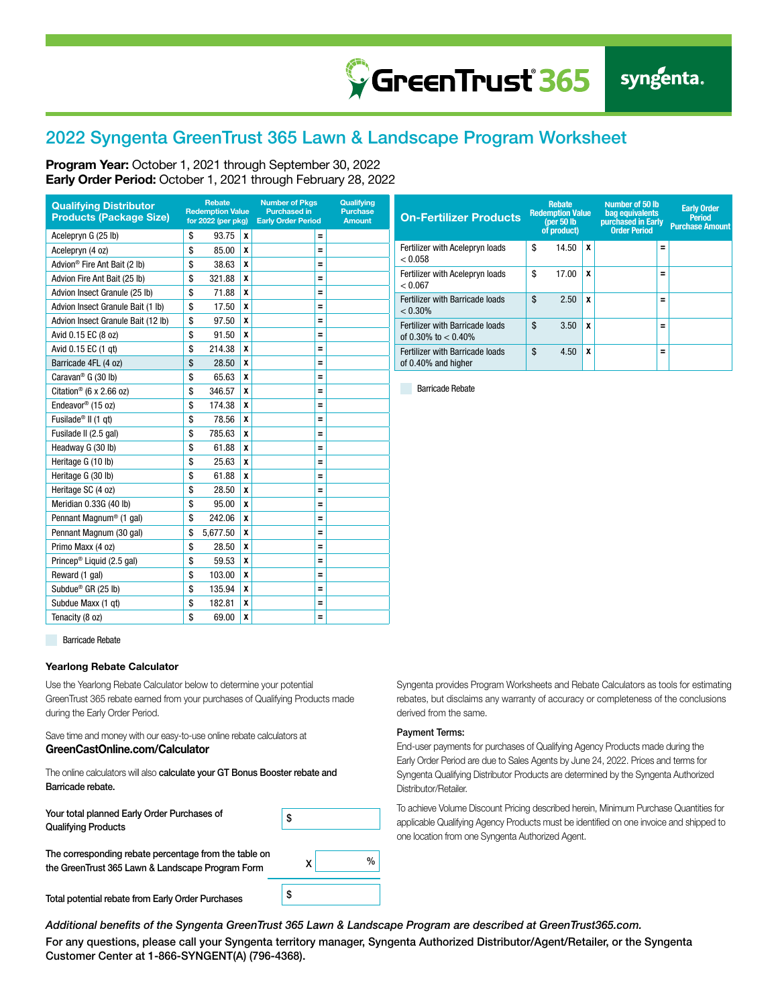### 2022 Syngenta GreenTrust 365 Lawn & Landscape Program Worksheet

Program Year: October 1, 2021 through September 30, 2022 Early Order Period: October 1, 2021 through February 28, 2022

| <b>Qualifying Distributor</b><br><b>Products (Package Size)</b> |    | <b>Rebate</b><br><b>Redemption Value</b><br>for 2022 (per pkg) |   | <b>Number of Pkgs</b><br><b>Purchased in</b><br><b>Early Order Period</b> | Qualifying<br><b>Purchase</b><br><b>Amount</b> |  |
|-----------------------------------------------------------------|----|----------------------------------------------------------------|---|---------------------------------------------------------------------------|------------------------------------------------|--|
| Acelepryn G (25 lb)                                             | \$ | 93.75                                                          | X |                                                                           | Ξ                                              |  |
| Acelepryn (4 oz)                                                | \$ | 85.00                                                          | X |                                                                           | Ξ                                              |  |
| Advion <sup>®</sup> Fire Ant Bait (2 lb)                        | \$ | 38.63                                                          | X |                                                                           | Ξ                                              |  |
| Advion Fire Ant Bait (25 lb)                                    | \$ | 321.88                                                         | X |                                                                           | Ξ                                              |  |
| Advion Insect Granule (25 lb)                                   | \$ | 71.88                                                          | X |                                                                           | Ξ                                              |  |
| Advion Insect Granule Bait (1 lb)                               | \$ | 17.50                                                          | X |                                                                           | Ξ                                              |  |
| Advion Insect Granule Bait (12 lb)                              | \$ | 97.50                                                          | X |                                                                           | Ξ                                              |  |
| Avid 0.15 EC (8 oz)                                             | \$ | 91.50                                                          | X |                                                                           | Ξ                                              |  |
| Avid 0.15 EC (1 gt)                                             | \$ | 214.38                                                         | X |                                                                           | Ξ                                              |  |
| Barricade 4FL (4 oz)                                            | \$ | 28.50                                                          | X |                                                                           | Ξ                                              |  |
| Caravan <sup>®</sup> G (30 lb)                                  | \$ | 65.63                                                          | χ |                                                                           | Ξ                                              |  |
| Citation <sup>®</sup> (6 x 2.66 oz)                             | \$ | 346.57                                                         | χ |                                                                           | Ξ                                              |  |
| Endeavor® (15 oz)                                               | \$ | 174.38                                                         | X |                                                                           | Ξ                                              |  |
| Fusilade <sup>®</sup> II (1 gt)                                 | \$ | 78.56                                                          | X |                                                                           | Ξ                                              |  |
| Fusilade II (2.5 gal)                                           | \$ | 785.63                                                         | χ |                                                                           | Ξ                                              |  |
| Headway G (30 lb)                                               | \$ | 61.88                                                          | χ |                                                                           | Ξ                                              |  |
| Heritage G (10 lb)                                              | \$ | 25.63                                                          | X |                                                                           | Ξ                                              |  |
| Heritage G (30 lb)                                              | \$ | 61.88                                                          | X |                                                                           | Ξ                                              |  |
| Heritage SC (4 oz)                                              | \$ | 28.50                                                          | χ |                                                                           | Ξ                                              |  |
| Meridian 0.33G (40 lb)                                          | \$ | 95.00                                                          | X |                                                                           | Ξ                                              |  |
| Pennant Magnum <sup>®</sup> (1 gal)                             | \$ | 242.06                                                         | χ |                                                                           | Ξ                                              |  |
| Pennant Magnum (30 gal)                                         | \$ | 5,677.50                                                       | χ |                                                                           | Ξ                                              |  |
| Primo Maxx (4 oz)                                               | \$ | 28.50                                                          | χ |                                                                           | Ξ                                              |  |
| Princep <sup>®</sup> Liquid (2.5 gal)                           | \$ | 59.53                                                          | X |                                                                           | Ξ                                              |  |
| Reward (1 gal)                                                  | \$ | 103.00                                                         | X |                                                                           | Ξ                                              |  |
| Subdue <sup>®</sup> GR (25 lb)                                  | \$ | 135.94                                                         | χ |                                                                           | Ξ                                              |  |
| Subdue Maxx (1 gt)                                              | \$ | 182.81                                                         | X |                                                                           | Ξ                                              |  |
| Tenacity (8 oz)                                                 | \$ | 69.00                                                          | X |                                                                           | Ξ                                              |  |

| <b>On-Fertilizer Products</b>                             |    | <b>Rebate</b><br><b>Redemption Value</b><br>(per $50$ lb<br>of product) |   | Number of 50 lb<br>bag equivalents<br>purchased in Early<br><b>Order Period</b> |          | <b>Early Order</b><br><b>Period</b><br><b>Purchase Amount</b> |  |
|-----------------------------------------------------------|----|-------------------------------------------------------------------------|---|---------------------------------------------------------------------------------|----------|---------------------------------------------------------------|--|
| Fertilizer with Acelepryn loads<br>< 0.058                | \$ | 14.50                                                                   | x |                                                                                 | $=$      |                                                               |  |
| Fertilizer with Acelepryn loads<br>< 0.067                | \$ | 17.00                                                                   | x |                                                                                 | $=$      |                                                               |  |
| Fertilizer with Barricade loads<br>$< 0.30\%$             | \$ | 2.50                                                                    | x |                                                                                 | $\equiv$ |                                                               |  |
| Fertilizer with Barricade loads<br>of 0.30% to $< 0.40\%$ | \$ | 3.50                                                                    | x |                                                                                 | $\equiv$ |                                                               |  |
| Fertilizer with Barricade loads<br>of 0.40% and higher    | \$ | 4.50                                                                    | x |                                                                                 | $\equiv$ |                                                               |  |

Barricade Rebate

**Barricade Rebate** 

#### Yearlong Rebate Calculator

Use the Yearlong Rebate Calculator below to determine your potential GreenTrust 365 rebate earned from your purchases of Qualifying Products made during the Early Order Period.

Save time and money with our easy-to-use online rebate calculators at GreenCastOnline.com/Calculator

The online calculators will also calculate your GT Bonus Booster rebate and Barricade rebate.

Your total planned Early Order Purchases of Qualifying Products

| The corresponding rebate percentage from the table on |
|-------------------------------------------------------|
| the GreenTrust 365 Lawn & Landscape Program Form      |

Total potential rebate from Early Order Purchases

Syngenta provides Program Worksheets and Rebate Calculators as tools for estimating rebates, but disclaims any warranty of accuracy or completeness of the conclusions derived from the same.

#### Payment Terms:

End-user payments for purchases of Qualifying Agency Products made during the Early Order Period are due to Sales Agents by June 24, 2022. Prices and terms for Syngenta Qualifying Distributor Products are determined by the Syngenta Authorized Distributor/Retailer.

To achieve Volume Discount Pricing described herein, Minimum Purchase Quantities for applicable Qualifying Agency Products must be identified on one invoice and shipped to one location from one Syngenta Authorized Agent.

*Additional benefits of the Syngenta GreenTrust 365 Lawn & Landscape Program are described at GreenTrust365.com.*

 $\mathsf{x}$  %

\$

\$

For any questions, please call your Syngenta territory manager, Syngenta Authorized Distributor/Agent/Retailer, or the Syngenta Customer Center at 1-866-SYNGENT(A) (796-4368).